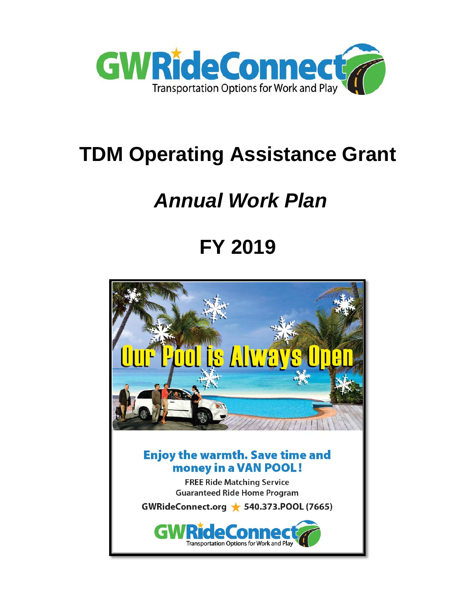

# **TDM Operating Assistance Grant**

# *Annual Work Plan*

# **FY 2019**

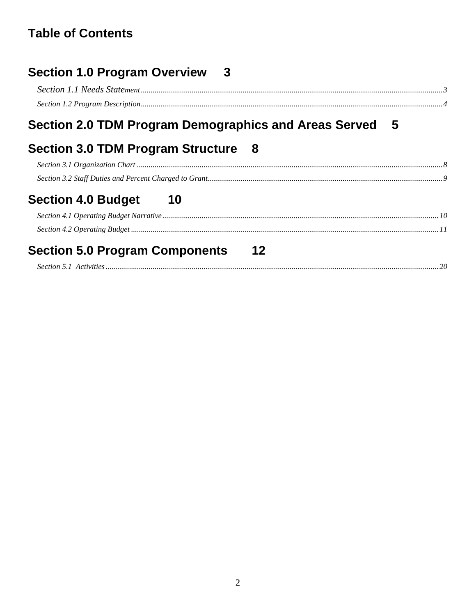# **Table of Contents**

| Section 1.0 Program Overview 3                          |  |
|---------------------------------------------------------|--|
| Section 2.0 TDM Program Demographics and Areas Served 5 |  |
| Section 3.0 TDM Program Structure 8                     |  |
|                                                         |  |
|                                                         |  |
| <b>Section 4.0 Budget</b><br>-- 10                      |  |
| <b>Section 5.0 Program Components</b><br>$12 \,$        |  |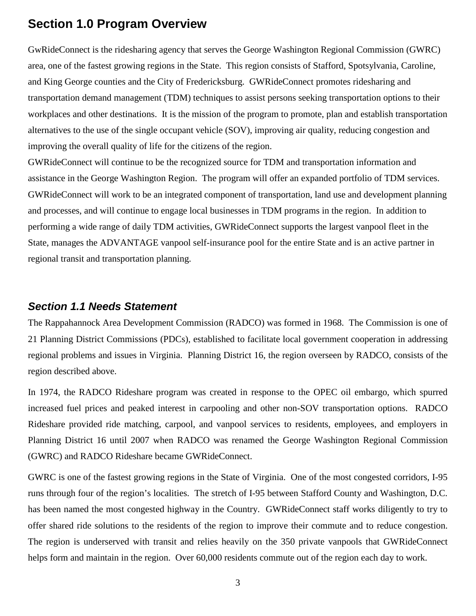### <span id="page-2-0"></span>**Section 1.0 Program Overview**

GwRideConnect is the ridesharing agency that serves the George Washington Regional Commission (GWRC) area, one of the fastest growing regions in the State. This region consists of Stafford, Spotsylvania, Caroline, and King George counties and the City of Fredericksburg. GWRideConnect promotes ridesharing and transportation demand management (TDM) techniques to assist persons seeking transportation options to their workplaces and other destinations. It is the mission of the program to promote, plan and establish transportation alternatives to the use of the single occupant vehicle (SOV), improving air quality, reducing congestion and improving the overall quality of life for the citizens of the region.

GWRideConnect will continue to be the recognized source for TDM and transportation information and assistance in the George Washington Region. The program will offer an expanded portfolio of TDM services. GWRideConnect will work to be an integrated component of transportation, land use and development planning and processes, and will continue to engage local businesses in TDM programs in the region. In addition to performing a wide range of daily TDM activities, GWRideConnect supports the largest vanpool fleet in the State, manages the ADVANTAGE vanpool self-insurance pool for the entire State and is an active partner in regional transit and transportation planning.

#### <span id="page-2-1"></span>*Section 1.1 Needs Statement*

The Rappahannock Area Development Commission (RADCO) was formed in 1968. The Commission is one of 21 Planning District Commissions (PDCs), established to facilitate local government cooperation in addressing regional problems and issues in Virginia. Planning District 16, the region overseen by RADCO, consists of the region described above.

In 1974, the RADCO Rideshare program was created in response to the OPEC oil embargo, which spurred increased fuel prices and peaked interest in carpooling and other non-SOV transportation options. RADCO Rideshare provided ride matching, carpool, and vanpool services to residents, employees, and employers in Planning District 16 until 2007 when RADCO was renamed the George Washington Regional Commission (GWRC) and RADCO Rideshare became GWRideConnect.

GWRC is one of the fastest growing regions in the State of Virginia. One of the most congested corridors, I-95 runs through four of the region's localities. The stretch of I-95 between Stafford County and Washington, D.C. has been named the most congested highway in the Country. GWRideConnect staff works diligently to try to offer shared ride solutions to the residents of the region to improve their commute and to reduce congestion. The region is underserved with transit and relies heavily on the 350 private vanpools that GWRideConnect helps form and maintain in the region. Over 60,000 residents commute out of the region each day to work.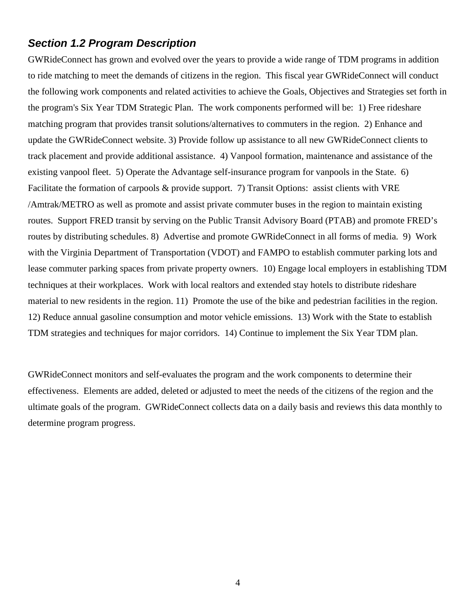#### <span id="page-3-0"></span>*Section 1.2 Program Description*

GWRideConnect has grown and evolved over the years to provide a wide range of TDM programs in addition to ride matching to meet the demands of citizens in the region. This fiscal year GWRideConnect will conduct the following work components and related activities to achieve the Goals, Objectives and Strategies set forth in the program's Six Year TDM Strategic Plan. The work components performed will be: 1) Free rideshare matching program that provides transit solutions/alternatives to commuters in the region. 2) Enhance and update the GWRideConnect website. 3) Provide follow up assistance to all new GWRideConnect clients to track placement and provide additional assistance. 4) Vanpool formation, maintenance and assistance of the existing vanpool fleet. 5) Operate the Advantage self-insurance program for vanpools in the State. 6) Facilitate the formation of carpools & provide support. 7) Transit Options: assist clients with VRE /Amtrak/METRO as well as promote and assist private commuter buses in the region to maintain existing routes. Support FRED transit by serving on the Public Transit Advisory Board (PTAB) and promote FRED's routes by distributing schedules. 8) Advertise and promote GWRideConnect in all forms of media. 9) Work with the Virginia Department of Transportation (VDOT) and FAMPO to establish commuter parking lots and lease commuter parking spaces from private property owners. 10) Engage local employers in establishing TDM techniques at their workplaces. Work with local realtors and extended stay hotels to distribute rideshare material to new residents in the region. 11) Promote the use of the bike and pedestrian facilities in the region. 12) Reduce annual gasoline consumption and motor vehicle emissions. 13) Work with the State to establish TDM strategies and techniques for major corridors. 14) Continue to implement the Six Year TDM plan.

GWRideConnect monitors and self-evaluates the program and the work components to determine their effectiveness. Elements are added, deleted or adjusted to meet the needs of the citizens of the region and the ultimate goals of the program. GWRideConnect collects data on a daily basis and reviews this data monthly to determine program progress.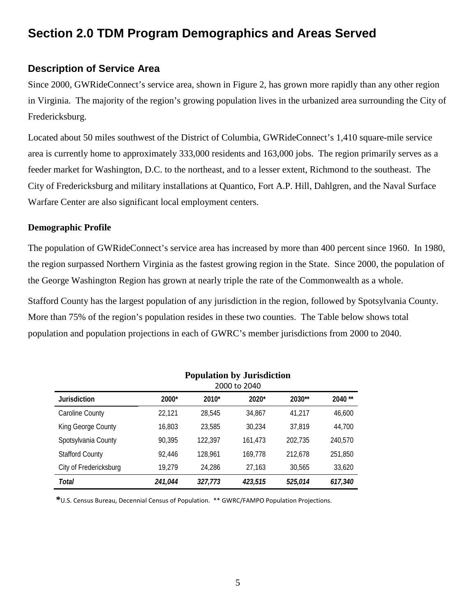### <span id="page-4-0"></span>**Section 2.0 TDM Program Demographics and Areas Served**

#### **Description of Service Area**

Since 2000, GWRideConnect's service area, shown in Figure 2, has grown more rapidly than any other region in Virginia. The majority of the region's growing population lives in the urbanized area surrounding the City of Fredericksburg.

Located about 50 miles southwest of the District of Columbia, GWRideConnect's 1,410 square-mile service area is currently home to approximately 333,000 residents and 163,000 jobs. The region primarily serves as a feeder market for Washington, D.C. to the northeast, and to a lesser extent, Richmond to the southeast. The City of Fredericksburg and military installations at Quantico, Fort A.P. Hill, Dahlgren, and the Naval Surface Warfare Center are also significant local employment centers.

#### **Demographic Profile**

The population of GWRideConnect's service area has increased by more than 400 percent since 1960. In 1980, the region surpassed Northern Virginia as the fastest growing region in the State. Since 2000, the population of the George Washington Region has grown at nearly triple the rate of the Commonwealth as a whole.

Stafford County has the largest population of any jurisdiction in the region, followed by Spotsylvania County. More than 75% of the region's population resides in these two counties. The Table below shows total population and population projections in each of GWRC's member jurisdictions from 2000 to 2040.

|                        | Population by Jurisdiction<br>2000 to 2040 |         |         |         |         |
|------------------------|--------------------------------------------|---------|---------|---------|---------|
| <b>Jurisdiction</b>    | 2000*                                      | 2010*   | $2020*$ | 2030**  | 2040**  |
| Caroline County        | 22,121                                     | 28,545  | 34,867  | 41,217  | 46,600  |
| King George County     | 16,803                                     | 23,585  | 30.234  | 37,819  | 44.700  |
| Spotsylvania County    | 90,395                                     | 122,397 | 161,473 | 202.735 | 240,570 |
| <b>Stafford County</b> | 92.446                                     | 128.961 | 169,778 | 212,678 | 251,850 |
| City of Fredericksburg | 19,279                                     | 24.286  | 27,163  | 30.565  | 33,620  |
| Total                  | 241.044                                    | 327.773 | 423,515 | 525.014 | 617.340 |

**Population by Jurisdiction**

**\***U.S. Census Bureau, Decennial Census of Population. \*\* GWRC/FAMPO Population Projections.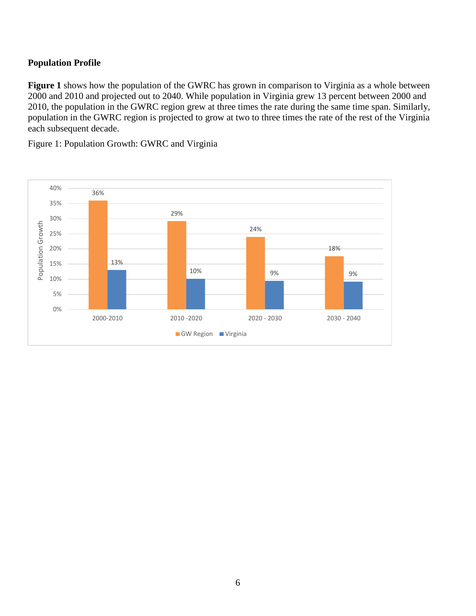#### **Population Profile**

**Figure 1** shows how the population of the GWRC has grown in comparison to Virginia as a whole between 2000 and 2010 and projected out to 2040. While population in Virginia grew 13 percent between 2000 and 2010, the population in the GWRC region grew at three times the rate during the same time span. Similarly, population in the GWRC region is projected to grow at two to three times the rate of the rest of the Virginia each subsequent decade.

Figure 1: Population Growth: GWRC and Virginia

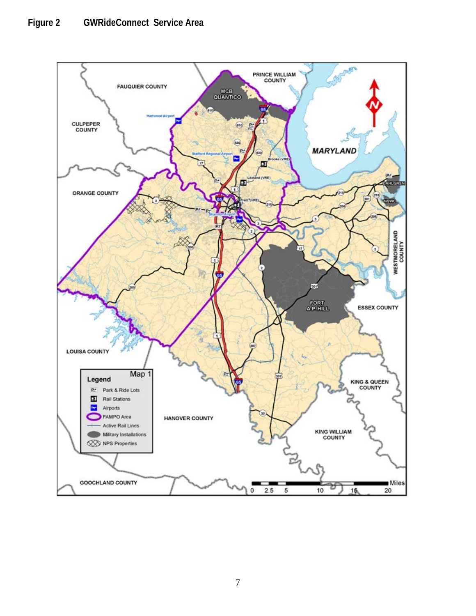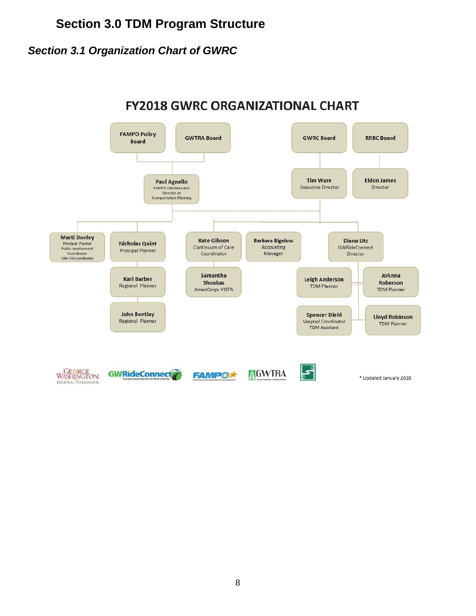## **Section 3.0 TDM Program Structure**

### <span id="page-7-1"></span><span id="page-7-0"></span>*Section 3.1 Organization Chart of GWRC*

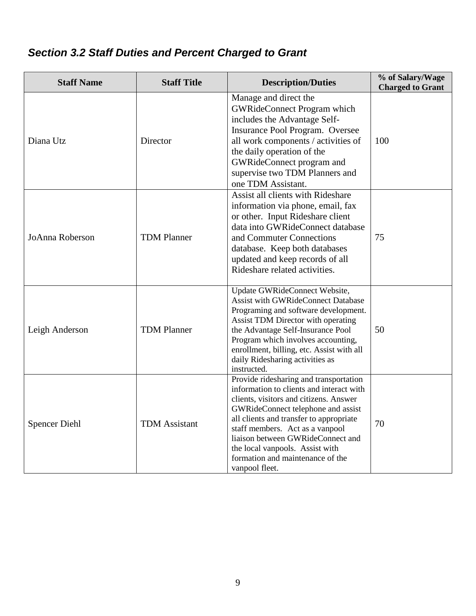# <span id="page-8-0"></span>*Section 3.2 Staff Duties and Percent Charged to Grant*

| <b>Staff Name</b>    | <b>Staff Title</b>   | <b>Description/Duties</b>                                                                                                                                                                                                                                                                                                                                                      | % of Salary/Wage<br><b>Charged to Grant</b> |
|----------------------|----------------------|--------------------------------------------------------------------------------------------------------------------------------------------------------------------------------------------------------------------------------------------------------------------------------------------------------------------------------------------------------------------------------|---------------------------------------------|
| Diana Utz            | Director             | Manage and direct the<br><b>GWRideConnect Program which</b><br>includes the Advantage Self-<br>Insurance Pool Program. Oversee<br>all work components / activities of<br>the daily operation of the<br>GWRideConnect program and<br>supervise two TDM Planners and<br>one TDM Assistant.                                                                                       | 100                                         |
| JoAnna Roberson      | <b>TDM Planner</b>   | Assist all clients with Rideshare<br>information via phone, email, fax<br>or other. Input Rideshare client<br>data into GWRideConnect database<br>and Commuter Connections<br>database. Keep both databases<br>updated and keep records of all<br>Rideshare related activities.                                                                                                | 75                                          |
| Leigh Anderson       | <b>TDM Planner</b>   | Update GWRideConnect Website,<br><b>Assist with GWRideConnect Database</b><br>Programing and software development.<br>Assist TDM Director with operating<br>the Advantage Self-Insurance Pool<br>Program which involves accounting,<br>enrollment, billing, etc. Assist with all<br>daily Ridesharing activities as<br>instructed.                                             | 50                                          |
| <b>Spencer Diehl</b> | <b>TDM</b> Assistant | Provide ridesharing and transportation<br>information to clients and interact with<br>clients, visitors and citizens. Answer<br>GWRideConnect telephone and assist<br>all clients and transfer to appropriate<br>staff members. Act as a vanpool<br>liaison between GWRideConnect and<br>the local vanpools. Assist with<br>formation and maintenance of the<br>vanpool fleet. | 70                                          |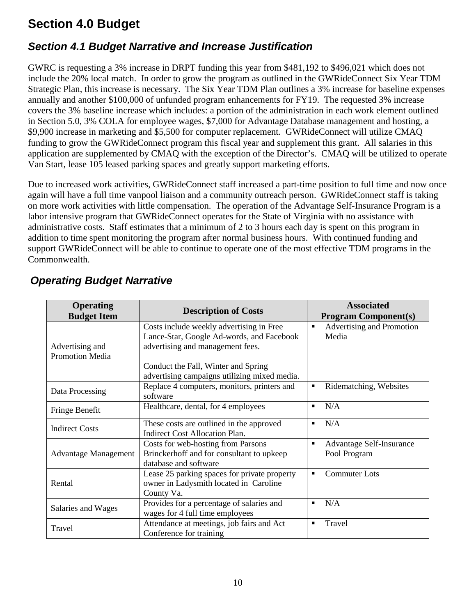## <span id="page-9-0"></span>**Section 4.0 Budget**

### <span id="page-9-1"></span>*Section 4.1 Budget Narrative and Increase Justification*

GWRC is requesting a 3% increase in DRPT funding this year from \$481,192 to \$496,021 which does not include the 20% local match. In order to grow the program as outlined in the GWRideConnect Six Year TDM Strategic Plan, this increase is necessary. The Six Year TDM Plan outlines a 3% increase for baseline expenses annually and another \$100,000 of unfunded program enhancements for FY19. The requested 3% increase covers the 3% baseline increase which includes: a portion of the administration in each work element outlined in Section 5.0, 3% COLA for employee wages, \$7,000 for Advantage Database management and hosting, a \$9,900 increase in marketing and \$5,500 for computer replacement. GWRideConnect will utilize CMAQ funding to grow the GWRideConnect program this fiscal year and supplement this grant. All salaries in this application are supplemented by CMAQ with the exception of the Director's. CMAQ will be utilized to operate Van Start, lease 105 leased parking spaces and greatly support marketing efforts.

Due to increased work activities, GWRideConnect staff increased a part-time position to full time and now once again will have a full time vanpool liaison and a community outreach person. GWRideConnect staff is taking on more work activities with little compensation. The operation of the Advantage Self-Insurance Program is a labor intensive program that GWRideConnect operates for the State of Virginia with no assistance with administrative costs. Staff estimates that a minimum of 2 to 3 hours each day is spent on this program in addition to time spent monitoring the program after normal business hours. With continued funding and support GWRideConnect will be able to continue to operate one of the most effective TDM programs in the Commonwealth.

| <b>Operating</b><br><b>Budget Item</b>    | <b>Description of Costs</b>                                                                                               | <b>Associated</b><br><b>Program Component(s)</b>                  |
|-------------------------------------------|---------------------------------------------------------------------------------------------------------------------------|-------------------------------------------------------------------|
| Advertising and<br><b>Promotion Media</b> | Costs include weekly advertising in Free<br>Lance-Star, Google Ad-words, and Facebook<br>advertising and management fees. | Advertising and Promotion<br>$\blacksquare$<br>Media              |
|                                           | Conduct the Fall, Winter and Spring<br>advertising campaigns utilizing mixed media.                                       |                                                                   |
| Data Processing                           | Replace 4 computers, monitors, printers and<br>software                                                                   | Ridematching, Websites<br>٠                                       |
| Fringe Benefit                            | Healthcare, dental, for 4 employees                                                                                       | N/A<br>$\blacksquare$                                             |
| <b>Indirect Costs</b>                     | These costs are outlined in the approved<br>Indirect Cost Allocation Plan.                                                | N/A<br>$\blacksquare$                                             |
| <b>Advantage Management</b>               | Costs for web-hosting from Parsons<br>Brinckerhoff and for consultant to upkeep<br>database and software                  | <b>Advantage Self-Insurance</b><br>$\blacksquare$<br>Pool Program |
| Rental                                    | Lease 25 parking spaces for private property<br>owner in Ladysmith located in Caroline<br>County Va.                      | <b>Commuter Lots</b><br>$\blacksquare$                            |
| Salaries and Wages                        | Provides for a percentage of salaries and<br>wages for 4 full time employees                                              | N/A<br>$\blacksquare$                                             |
| Travel                                    | Attendance at meetings, job fairs and Act<br>Conference for training                                                      | Travel<br>٠                                                       |

### *Operating Budget Narrative*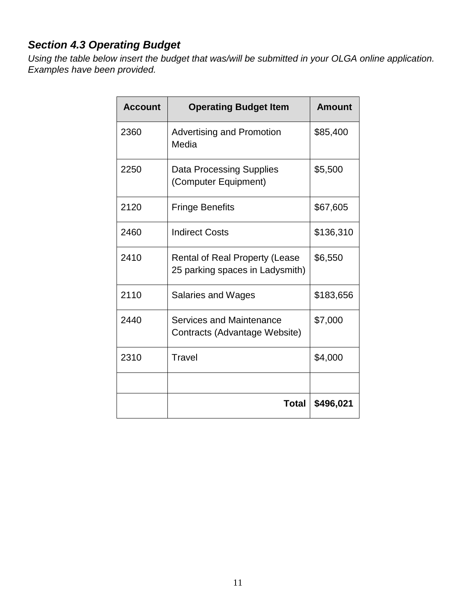## <span id="page-10-0"></span>*Section 4.3 Operating Budget*

*Using the table below insert the budget that was/will be submitted in your OLGA online application. Examples have been provided.* 

| <b>Account</b> | <b>Operating Budget Item</b>                                             | <b>Amount</b> |
|----------------|--------------------------------------------------------------------------|---------------|
| 2360           | <b>Advertising and Promotion</b><br>Media                                | \$85,400      |
| 2250           | <b>Data Processing Supplies</b><br>(Computer Equipment)                  | \$5,500       |
| 2120           | <b>Fringe Benefits</b>                                                   | \$67,605      |
| 2460           | <b>Indirect Costs</b>                                                    | \$136,310     |
| 2410           | <b>Rental of Real Property (Lease</b><br>25 parking spaces in Ladysmith) | \$6,550       |
| 2110           | <b>Salaries and Wages</b>                                                | \$183,656     |
| 2440           | Services and Maintenance<br>Contracts (Advantage Website)                | \$7,000       |
| 2310           | Travel                                                                   | \$4,000       |
|                |                                                                          |               |
|                | <b>Total</b>                                                             | \$496,021     |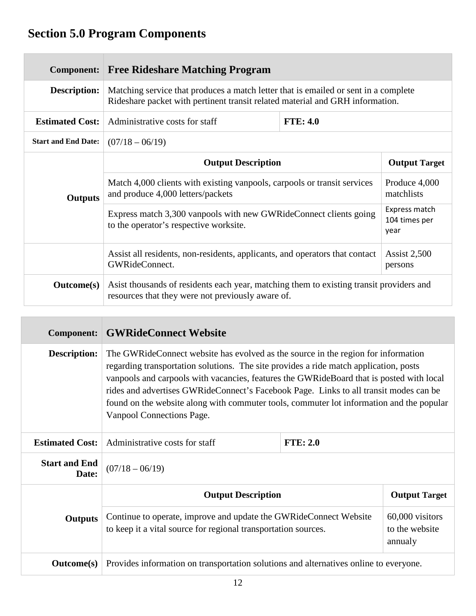# <span id="page-11-0"></span>**Section 5.0 Program Components**

| <b>Component:</b>          | <b>Free Rideshare Matching Program</b>                                                                                                                               |  |                                        |  |
|----------------------------|----------------------------------------------------------------------------------------------------------------------------------------------------------------------|--|----------------------------------------|--|
| <b>Description:</b>        | Matching service that produces a match letter that is emailed or sent in a complete<br>Rideshare packet with pertinent transit related material and GRH information. |  |                                        |  |
| <b>Estimated Cost:</b>     | Administrative costs for staff<br><b>FTE: 4.0</b>                                                                                                                    |  |                                        |  |
| <b>Start and End Date:</b> | $(07/18 - 06/19)$                                                                                                                                                    |  |                                        |  |
|                            | <b>Output Description</b>                                                                                                                                            |  | <b>Output Target</b>                   |  |
| Outputs                    | Match 4,000 clients with existing vanpools, carpools or transit services<br>and produce 4,000 letters/packets                                                        |  | Produce 4,000<br>matchlists            |  |
|                            | Express match 3,300 vanpools with new GWRideConnect clients going<br>to the operator's respective worksite.                                                          |  | Express match<br>104 times per<br>year |  |
|                            | Assist all residents, non-residents, applicants, and operators that contact<br>GWRideConnect.                                                                        |  | <b>Assist 2,500</b><br>persons         |  |
| <b>Outcome(s)</b>          | Asist thousands of residents each year, matching them to existing transit providers and<br>resources that they were not previously aware of.                         |  |                                        |  |

| <b>Component:</b>             | <b>GWRideConnect Website</b>                                                                                                                                                                                                                                                                                                                                                                                                                                                                 |  |                                   |
|-------------------------------|----------------------------------------------------------------------------------------------------------------------------------------------------------------------------------------------------------------------------------------------------------------------------------------------------------------------------------------------------------------------------------------------------------------------------------------------------------------------------------------------|--|-----------------------------------|
| <b>Description:</b>           | The GWR ide Connect we basite has evolved as the source in the region for information<br>regarding transportation solutions. The site provides a ride match application, posts<br>vanpools and carpools with vacancies, features the GWRideBoard that is posted with local<br>rides and advertises GWRideConnect's Facebook Page. Links to all transit modes can be<br>found on the website along with commuter tools, commuter lot information and the popular<br>Vanpool Connections Page. |  |                                   |
| <b>Estimated Cost:</b>        | Administrative costs for staff<br><b>FTE: 2.0</b>                                                                                                                                                                                                                                                                                                                                                                                                                                            |  |                                   |
| <b>Start and End</b><br>Date: | $(07/18 - 06/19)$                                                                                                                                                                                                                                                                                                                                                                                                                                                                            |  |                                   |
|                               | <b>Output Description</b>                                                                                                                                                                                                                                                                                                                                                                                                                                                                    |  | <b>Output Target</b>              |
| <b>Outputs</b>                | Continue to operate, improve and update the GWRideConnect Website<br>to keep it a vital source for regional transportation sources.<br>annualy                                                                                                                                                                                                                                                                                                                                               |  | 60,000 visitors<br>to the website |
| <b>Outcome</b> (s)            | Provides information on transportation solutions and alternatives online to everyone.                                                                                                                                                                                                                                                                                                                                                                                                        |  |                                   |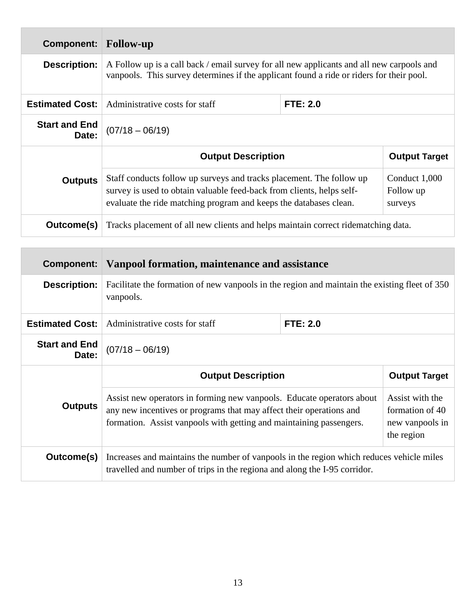| Component:                    | <b>Follow-up</b>                                                                                                                                                                                                   |          |                                       |
|-------------------------------|--------------------------------------------------------------------------------------------------------------------------------------------------------------------------------------------------------------------|----------|---------------------------------------|
| <b>Description:</b>           | A Follow up is a call back / email survey for all new applicants and all new carpools and<br>vanpools. This survey determines if the applicant found a ride or riders for their pool.                              |          |                                       |
| <b>Estimated Cost:</b>        | Administrative costs for staff                                                                                                                                                                                     | FTE: 2.0 |                                       |
| <b>Start and End</b><br>Date: | $(07/18 - 06/19)$                                                                                                                                                                                                  |          |                                       |
|                               | <b>Output Description</b>                                                                                                                                                                                          |          | <b>Output Target</b>                  |
| <b>Outputs</b>                | Staff conducts follow up surveys and tracks placement. The follow up<br>survey is used to obtain valuable feed-back from clients, helps self-<br>evaluate the ride matching program and keeps the databases clean. |          | Conduct 1,000<br>Follow up<br>surveys |
| Outcome(s)                    | Tracks placement of all new clients and helps maintain correct ridematching data.                                                                                                                                  |          |                                       |

| <b>Component:</b>             | Vanpool formation, maintenance and assistance                                                                                                                                                                       |  |                                                                     |
|-------------------------------|---------------------------------------------------------------------------------------------------------------------------------------------------------------------------------------------------------------------|--|---------------------------------------------------------------------|
| <b>Description:</b>           | Facilitate the formation of new vanpools in the region and maintain the existing fleet of 350<br>vanpools.                                                                                                          |  |                                                                     |
| <b>Estimated Cost:</b>        | <b>FTE: 2.0</b><br>Administrative costs for staff                                                                                                                                                                   |  |                                                                     |
| <b>Start and End</b><br>Date: | $(07/18 - 06/19)$                                                                                                                                                                                                   |  |                                                                     |
|                               | <b>Output Description</b>                                                                                                                                                                                           |  | <b>Output Target</b>                                                |
| <b>Outputs</b>                | Assist new operators in forming new vanpools. Educate operators about<br>any new incentives or programs that may affect their operations and<br>formation. Assist vanpools with getting and maintaining passengers. |  | Assist with the<br>formation of 40<br>new vanpools in<br>the region |
| Outcome(s)                    | Increases and maintains the number of vanpools in the region which reduces vehicle miles<br>travelled and number of trips in the regiona and along the I-95 corridor.                                               |  |                                                                     |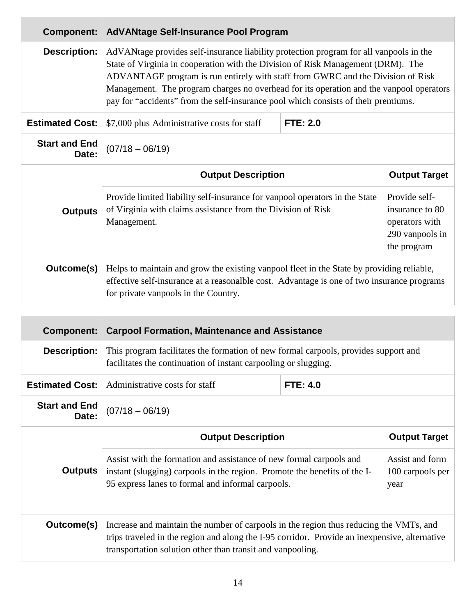| <b>Component:</b>             | <b>AdVANtage Self-Insurance Pool Program</b>                                                                                                                                                                                                                                                                                                                                                                                                   |          |  |
|-------------------------------|------------------------------------------------------------------------------------------------------------------------------------------------------------------------------------------------------------------------------------------------------------------------------------------------------------------------------------------------------------------------------------------------------------------------------------------------|----------|--|
| <b>Description:</b>           | AdVANtage provides self-insurance liability protection program for all vanpools in the<br>State of Virginia in cooperation with the Division of Risk Management (DRM). The<br>ADVANTAGE program is run entirely with staff from GWRC and the Division of Risk<br>Management. The program charges no overhead for its operation and the vanpool operators<br>pay for "accidents" from the self-insurance pool which consists of their premiums. |          |  |
| <b>Estimated Cost:</b>        | \$7,000 plus Administrative costs for staff                                                                                                                                                                                                                                                                                                                                                                                                    | FTE: 2.0 |  |
| <b>Start and End</b><br>Date: | $(07/18 - 06/19)$                                                                                                                                                                                                                                                                                                                                                                                                                              |          |  |
|                               | <b>Output Description</b><br><b>Output Target</b><br>Provide self-<br>Provide limited liability self-insurance for vanpool operators in the State<br>of Virginia with claims assistance from the Division of Risk<br>insurance to 80<br><b>Outputs</b><br>Management.<br>operators with<br>290 vanpools in<br>the program                                                                                                                      |          |  |
|                               |                                                                                                                                                                                                                                                                                                                                                                                                                                                |          |  |
| Outcome(s)                    | Helps to maintain and grow the existing vanpool fleet in the State by providing reliable,<br>effective self-insurance at a reasonal ble cost. Advantage is one of two insurance programs<br>for private vanpools in the Country.                                                                                                                                                                                                               |          |  |

| Component:                    | <b>Carpool Formation, Maintenance and Assistance</b>                                                                                                                                                                                                  |  |                                             |
|-------------------------------|-------------------------------------------------------------------------------------------------------------------------------------------------------------------------------------------------------------------------------------------------------|--|---------------------------------------------|
| <b>Description:</b>           | This program facilitates the formation of new formal carpools, provides support and<br>facilitates the continuation of instant carpooling or slugging.                                                                                                |  |                                             |
| <b>Estimated Cost:</b>        | <b>FTE: 4.0</b><br>Administrative costs for staff                                                                                                                                                                                                     |  |                                             |
| <b>Start and End</b><br>Date: | $(07/18 - 06/19)$                                                                                                                                                                                                                                     |  |                                             |
|                               | <b>Output Description</b>                                                                                                                                                                                                                             |  | <b>Output Target</b>                        |
| <b>Outputs</b>                | Assist with the formation and assistance of new formal carpools and<br>instant (slugging) carpools in the region. Promote the benefits of the I-<br>95 express lanes to formal and informal carpools.                                                 |  | Assist and form<br>100 carpools per<br>year |
| Outcome(s)                    | Increase and maintain the number of carpools in the region thus reducing the VMTs, and<br>trips traveled in the region and along the I-95 corridor. Provide an inexpensive, alternative<br>transportation solution other than transit and vanpooling. |  |                                             |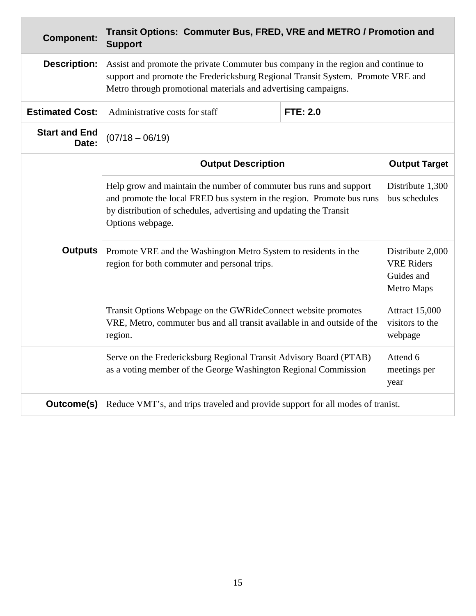| <b>Component:</b>                                                                                                                                    | Transit Options: Commuter Bus, FRED, VRE and METRO / Promotion and<br><b>Support</b>                                                                                                                                                   |                                                     |                                                                   |
|------------------------------------------------------------------------------------------------------------------------------------------------------|----------------------------------------------------------------------------------------------------------------------------------------------------------------------------------------------------------------------------------------|-----------------------------------------------------|-------------------------------------------------------------------|
| <b>Description:</b>                                                                                                                                  | Assist and promote the private Commuter bus company in the region and continue to<br>support and promote the Fredericksburg Regional Transit System. Promote VRE and<br>Metro through promotional materials and advertising campaigns. |                                                     |                                                                   |
| <b>Estimated Cost:</b>                                                                                                                               | Administrative costs for staff                                                                                                                                                                                                         | <b>FTE: 2.0</b>                                     |                                                                   |
| <b>Start and End</b><br>Date:                                                                                                                        | $(07/18 - 06/19)$                                                                                                                                                                                                                      |                                                     |                                                                   |
|                                                                                                                                                      | <b>Output Description</b>                                                                                                                                                                                                              |                                                     | <b>Output Target</b>                                              |
|                                                                                                                                                      | Help grow and maintain the number of commuter bus runs and support<br>and promote the local FRED bus system in the region. Promote bus runs<br>by distribution of schedules, advertising and updating the Transit<br>Options webpage.  |                                                     | Distribute 1,300<br>bus schedules                                 |
| <b>Outputs</b>                                                                                                                                       | Promote VRE and the Washington Metro System to residents in the<br>region for both commuter and personal trips.                                                                                                                        |                                                     | Distribute 2,000<br><b>VRE Riders</b><br>Guides and<br>Metro Maps |
| Transit Options Webpage on the GWRideConnect website promotes<br>VRE, Metro, commuter bus and all transit available in and outside of the<br>region. |                                                                                                                                                                                                                                        | <b>Attract 15,000</b><br>visitors to the<br>webpage |                                                                   |
|                                                                                                                                                      | Serve on the Fredericksburg Regional Transit Advisory Board (PTAB)<br>as a voting member of the George Washington Regional Commission                                                                                                  |                                                     | Attend 6<br>meetings per<br>year                                  |
| Outcome(s)                                                                                                                                           | Reduce VMT's, and trips traveled and provide support for all modes of tranist.                                                                                                                                                         |                                                     |                                                                   |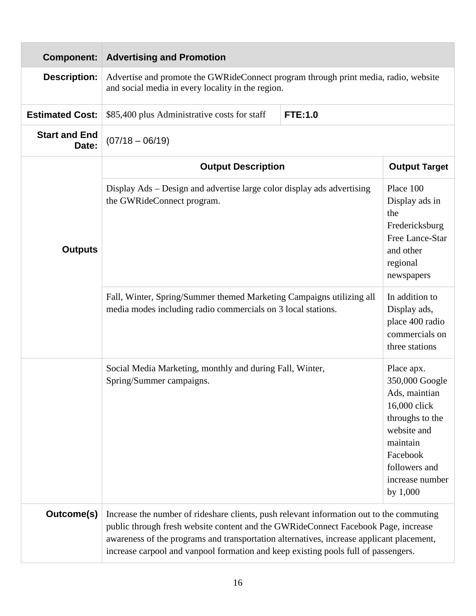| <b>Component:</b>             | <b>Advertising and Promotion</b>                                                                                                                                                                                                                                                                                                                                 |                |                                                                                                                                                                           |  |                                                                                                                |
|-------------------------------|------------------------------------------------------------------------------------------------------------------------------------------------------------------------------------------------------------------------------------------------------------------------------------------------------------------------------------------------------------------|----------------|---------------------------------------------------------------------------------------------------------------------------------------------------------------------------|--|----------------------------------------------------------------------------------------------------------------|
| <b>Description:</b>           | Advertise and promote the GWRideConnect program through print media, radio, website<br>and social media in every locality in the region.                                                                                                                                                                                                                         |                |                                                                                                                                                                           |  |                                                                                                                |
| <b>Estimated Cost:</b>        | \$85,400 plus Administrative costs for staff                                                                                                                                                                                                                                                                                                                     | <b>FTE:1.0</b> |                                                                                                                                                                           |  |                                                                                                                |
| <b>Start and End</b><br>Date: | $(07/18 - 06/19)$                                                                                                                                                                                                                                                                                                                                                |                |                                                                                                                                                                           |  |                                                                                                                |
|                               | <b>Output Description</b>                                                                                                                                                                                                                                                                                                                                        |                | <b>Output Target</b>                                                                                                                                                      |  |                                                                                                                |
| <b>Outputs</b>                | Display Ads - Design and advertise large color display ads advertising<br>the GWRideConnect program.                                                                                                                                                                                                                                                             |                |                                                                                                                                                                           |  | Place 100<br>Display ads in<br>the<br>Fredericksburg<br>Free Lance-Star<br>and other<br>regional<br>newspapers |
|                               | Fall, Winter, Spring/Summer themed Marketing Campaigns utilizing all<br>media modes including radio commercials on 3 local stations.                                                                                                                                                                                                                             |                | In addition to<br>Display ads,<br>place 400 radio<br>commercials on<br>three stations                                                                                     |  |                                                                                                                |
|                               | Social Media Marketing, monthly and during Fall, Winter,<br>Spring/Summer campaigns.                                                                                                                                                                                                                                                                             |                | Place apx.<br>350,000 Google<br>Ads, maintian<br>16,000 click<br>throughs to the<br>website and<br>maintain<br>Facebook<br>followers and<br>increase number<br>by $1,000$ |  |                                                                                                                |
| Outcome(s)                    | Increase the number of rideshare clients, push relevant information out to the commuting<br>public through fresh website content and the GWRideConnect Facebook Page, increase<br>awareness of the programs and transportation alternatives, increase applicant placement,<br>increase carpool and vanpool formation and keep existing pools full of passengers. |                |                                                                                                                                                                           |  |                                                                                                                |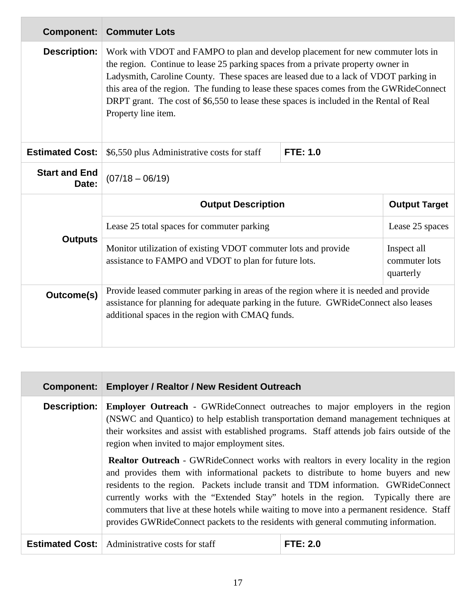| <b>Component:</b>             | <b>Commuter Lots</b>                                                                                                                                                                                                                                                                                                                                                                                                                                                     |  |                      |  |
|-------------------------------|--------------------------------------------------------------------------------------------------------------------------------------------------------------------------------------------------------------------------------------------------------------------------------------------------------------------------------------------------------------------------------------------------------------------------------------------------------------------------|--|----------------------|--|
| <b>Description:</b>           | Work with VDOT and FAMPO to plan and develop placement for new commuter lots in<br>the region. Continue to lease 25 parking spaces from a private property owner in<br>Ladysmith, Caroline County. These spaces are leased due to a lack of VDOT parking in<br>this area of the region. The funding to lease these spaces comes from the GWRideConnect<br>DRPT grant. The cost of \$6,550 to lease these spaces is included in the Rental of Real<br>Property line item. |  |                      |  |
| <b>Estimated Cost:</b>        | \$6,550 plus Administrative costs for staff<br>FTE: 1.0                                                                                                                                                                                                                                                                                                                                                                                                                  |  |                      |  |
| <b>Start and End</b><br>Date: | $(07/18 - 06/19)$                                                                                                                                                                                                                                                                                                                                                                                                                                                        |  |                      |  |
|                               | <b>Output Description</b>                                                                                                                                                                                                                                                                                                                                                                                                                                                |  | <b>Output Target</b> |  |
|                               | Lease 25 total spaces for commuter parking                                                                                                                                                                                                                                                                                                                                                                                                                               |  | Lease 25 spaces      |  |
| <b>Outputs</b>                | Monitor utilization of existing VDOT commuter lots and provide<br>Inspect all<br>assistance to FAMPO and VDOT to plan for future lots.<br>commuter lots<br>quarterly                                                                                                                                                                                                                                                                                                     |  |                      |  |
| <b>Outcome(s)</b>             | Provide leased commuter parking in areas of the region where it is needed and provide                                                                                                                                                                                                                                                                                                                                                                                    |  |                      |  |
|                               | assistance for planning for adequate parking in the future. GWRideConnect also leases<br>additional spaces in the region with CMAQ funds.                                                                                                                                                                                                                                                                                                                                |  |                      |  |

| <b>Component:</b>      | <b>Employer / Realtor / New Resident Outreach</b>                                                                                                                                                                                                                                                                                                                                                                                                                                                                                                   |                 |  |  |  |
|------------------------|-----------------------------------------------------------------------------------------------------------------------------------------------------------------------------------------------------------------------------------------------------------------------------------------------------------------------------------------------------------------------------------------------------------------------------------------------------------------------------------------------------------------------------------------------------|-----------------|--|--|--|
| <b>Description:</b>    | <b>Employer Outreach</b> - GWRideConnect outreaches to major employers in the region<br>(NSWC and Quantico) to help establish transportation demand management techniques at<br>their worksites and assist with established programs. Staff attends job fairs outside of the<br>region when invited to major employment sites.                                                                                                                                                                                                                      |                 |  |  |  |
|                        | <b>Realtor Outreach</b> - GWRideConnect works with realtors in every locality in the region<br>and provides them with informational packets to distribute to home buyers and new<br>residents to the region. Packets include transit and TDM information. GWRideConnect<br>currently works with the "Extended Stay" hotels in the region. Typically there are<br>commuters that live at these hotels while waiting to move into a permanent residence. Staff<br>provides GWRideConnect packets to the residents with general commuting information. |                 |  |  |  |
| <b>Estimated Cost:</b> | Administrative costs for staff                                                                                                                                                                                                                                                                                                                                                                                                                                                                                                                      | <b>FTE: 2.0</b> |  |  |  |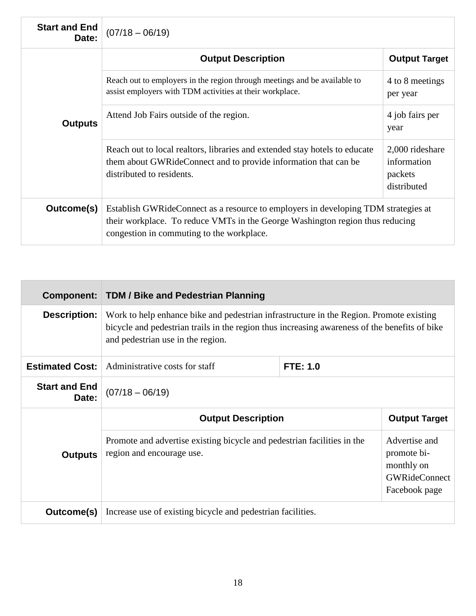| <b>Start and End</b><br>Date: | $(07/18 - 06/19)$                                                                                                                                                                                                |                                                          |  |  |
|-------------------------------|------------------------------------------------------------------------------------------------------------------------------------------------------------------------------------------------------------------|----------------------------------------------------------|--|--|
|                               | <b>Output Description</b>                                                                                                                                                                                        | <b>Output Target</b>                                     |  |  |
|                               | Reach out to employers in the region through meetings and be available to<br>assist employers with TDM activities at their workplace.                                                                            | 4 to 8 meetings<br>per year                              |  |  |
| <b>Outputs</b>                | Attend Job Fairs outside of the region.                                                                                                                                                                          | 4 job fairs per<br>year                                  |  |  |
|                               | Reach out to local realtors, libraries and extended stay hotels to educate<br>them about GWR ide Connect and to provide information that can be<br>distributed to residents.                                     | 2,000 rideshare<br>information<br>packets<br>distributed |  |  |
| Outcome(s)                    | Establish GWRideConnect as a resource to employers in developing TDM strategies at<br>their workplace. To reduce VMTs in the George Washington region thus reducing<br>congestion in commuting to the workplace. |                                                          |  |  |

| Component:                    | <b>TDM / Bike and Pedestrian Planning</b>                                                                                                                                                                                     |                 |                                                                                     |  |  |  |
|-------------------------------|-------------------------------------------------------------------------------------------------------------------------------------------------------------------------------------------------------------------------------|-----------------|-------------------------------------------------------------------------------------|--|--|--|
| <b>Description:</b>           | Work to help enhance bike and pedestrian infrastructure in the Region. Promote existing<br>bicycle and pedestrian trails in the region thus increasing awareness of the benefits of bike<br>and pedestrian use in the region. |                 |                                                                                     |  |  |  |
| <b>Estimated Cost:</b>        | Administrative costs for staff                                                                                                                                                                                                | <b>FTE: 1.0</b> |                                                                                     |  |  |  |
| <b>Start and End</b><br>Date: | $(07/18 - 06/19)$                                                                                                                                                                                                             |                 |                                                                                     |  |  |  |
|                               | <b>Output Description</b>                                                                                                                                                                                                     |                 | <b>Output Target</b>                                                                |  |  |  |
| <b>Outputs</b>                | Promote and advertise existing bicycle and pedestrian facilities in the<br>region and encourage use.                                                                                                                          |                 | Advertise and<br>promote bi-<br>monthly on<br><b>GWRideConnect</b><br>Facebook page |  |  |  |
| Outcome(s)                    | Increase use of existing bicycle and pedestrian facilities.                                                                                                                                                                   |                 |                                                                                     |  |  |  |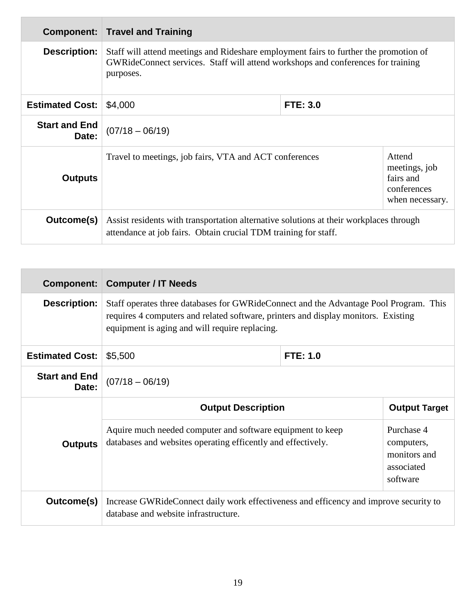|                               | <b>Component: Travel and Training</b>                                                                                                                                                  |  |                                                                        |  |  |
|-------------------------------|----------------------------------------------------------------------------------------------------------------------------------------------------------------------------------------|--|------------------------------------------------------------------------|--|--|
| <b>Description:</b>           | Staff will attend meetings and Rideshare employment fairs to further the promotion of<br>GWRideConnect services. Staff will attend workshops and conferences for training<br>purposes. |  |                                                                        |  |  |
| <b>Estimated Cost:</b>        | <b>FTE: 3.0</b><br>\$4,000                                                                                                                                                             |  |                                                                        |  |  |
| <b>Start and End</b><br>Date: | $(07/18 - 06/19)$                                                                                                                                                                      |  |                                                                        |  |  |
| <b>Outputs</b>                | Travel to meetings, job fairs, VTA and ACT conferences                                                                                                                                 |  | Attend<br>meetings, job<br>fairs and<br>conferences<br>when necessary. |  |  |
| Outcome(s)                    | Assist residents with transportation alternative solutions at their workplaces through<br>attendance at job fairs. Obtain crucial TDM training for staff.                              |  |                                                                        |  |  |

| Component:                    | <b>Computer / IT Needs</b>                                                                                                                                                                                                      |          |                                                        |
|-------------------------------|---------------------------------------------------------------------------------------------------------------------------------------------------------------------------------------------------------------------------------|----------|--------------------------------------------------------|
| <b>Description:</b>           | Staff operates three databases for GWR ide Connect and the Advantage Pool Program. This<br>requires 4 computers and related software, printers and display monitors. Existing<br>equipment is aging and will require replacing. |          |                                                        |
| <b>Estimated Cost:</b>        | \$5,500                                                                                                                                                                                                                         | FTE: 1.0 |                                                        |
| <b>Start and End</b><br>Date: | $(07/18 - 06/19)$                                                                                                                                                                                                               |          |                                                        |
|                               | <b>Output Description</b>                                                                                                                                                                                                       |          | <b>Output Target</b>                                   |
| <b>Outputs</b>                | Aquire much needed computer and software equipment to keep<br>databases and websites operating efficently and effectively.<br>software                                                                                          |          | Purchase 4<br>computers,<br>monitors and<br>associated |
| Outcome(s)                    | Increase GWR ideConnect daily work effectiveness and efficency and improve security to<br>database and website infrastructure.                                                                                                  |          |                                                        |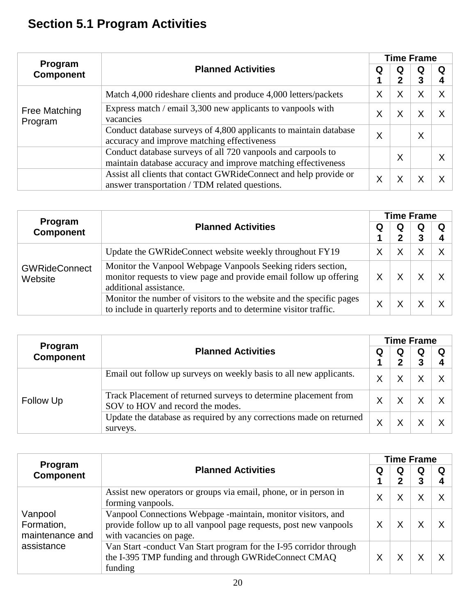# **Section 5.1 Program Activities**

|                             |                                                                                                                               |   | <b>Time Frame</b> |   |   |
|-----------------------------|-------------------------------------------------------------------------------------------------------------------------------|---|-------------------|---|---|
| Program<br><b>Component</b> | <b>Planned Activities</b>                                                                                                     | Q | Q                 | Q | Q |
|                             |                                                                                                                               |   | 2                 | 3 |   |
| Free Matching<br>Program    | Match 4,000 rideshare clients and produce 4,000 letters/packets                                                               | X | Χ                 | Χ | Χ |
|                             | Express match / email 3,300 new applicants to vanpools with<br>vacancies                                                      | Χ | Χ                 | х | Χ |
|                             | Conduct database surveys of 4,800 applicants to maintain database<br>accuracy and improve matching effectiveness              | X |                   | X |   |
|                             | Conduct database surveys of all 720 vanpools and carpools to<br>maintain database accuracy and improve matching effectiveness |   | Χ                 |   | X |
|                             | Assist all clients that contact GWRideConnect and help provide or<br>answer transportation / TDM related questions.           | ✓ |                   |   |   |

|                                 | <b>Planned Activities</b>                                                                                                                                    |   | <b>Time Frame</b> |        |          |  |  |
|---------------------------------|--------------------------------------------------------------------------------------------------------------------------------------------------------------|---|-------------------|--------|----------|--|--|
| Program<br><b>Component</b>     |                                                                                                                                                              |   | $\bf{Q}$<br>2     | Q<br>3 | Q<br>4   |  |  |
|                                 | Update the GWRideConnect website weekly throughout FY19                                                                                                      | Χ |                   |        | $\times$ |  |  |
| <b>GWRideConnect</b><br>Website | Monitor the Vanpool Webpage Vanpools Seeking riders section,<br>monitor requests to view page and provide email follow up offering<br>additional assistance. | Χ |                   |        | Χ        |  |  |
|                                 | Monitor the number of visitors to the website and the specific pages<br>to include in quarterly reports and to determine visitor traffic.                    | Χ |                   |        |          |  |  |

|                             |                                                                                                     |   | <b>Time Frame</b> |   |        |  |  |
|-----------------------------|-----------------------------------------------------------------------------------------------------|---|-------------------|---|--------|--|--|
| Program<br><b>Component</b> | <b>Planned Activities</b>                                                                           | Q | Q<br>2            | Q | Q<br>4 |  |  |
| Follow Up                   | Email out follow up surveys on weekly basis to all new applicants.                                  |   |                   |   |        |  |  |
|                             | Track Placement of returned surveys to determine placement from<br>SOV to HOV and record the modes. | X |                   |   |        |  |  |
|                             | Update the database as required by any corrections made on returned<br>surveys.                     | X |                   |   |        |  |  |

|                                                        | <b>Planned Activities</b>                                                                                                                                    |   | <b>Time Frame</b> |        |        |  |  |
|--------------------------------------------------------|--------------------------------------------------------------------------------------------------------------------------------------------------------------|---|-------------------|--------|--------|--|--|
| Program<br><b>Component</b>                            |                                                                                                                                                              |   | Q<br>$\mathbf{2}$ | Q<br>3 | Q<br>4 |  |  |
| Vanpool<br>Formation,<br>maintenance and<br>assistance | Assist new operators or groups via email, phone, or in person in<br>forming vanpools.                                                                        | Χ | Χ                 |        | Χ      |  |  |
|                                                        | Vanpool Connections Webpage -maintain, monitor visitors, and<br>provide follow up to all vanpool page requests, post new vanpools<br>with vacancies on page. |   |                   |        |        |  |  |
|                                                        | Van Start -conduct Van Start program for the I-95 corridor through<br>the I-395 TMP funding and through GWRideConnect CMAQ<br>funding                        |   |                   |        |        |  |  |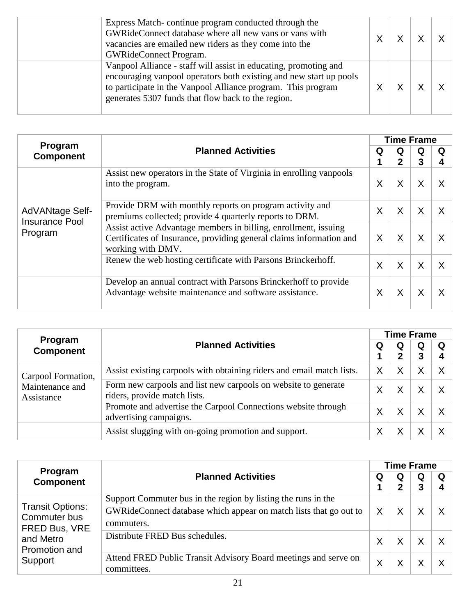| Express Match-continue program conducted through the<br>GWRideConnect database where all new vans or vans with<br>vacancies are emailed new riders as they come into the<br><b>GWRideConnect Program.</b>                                                    |  |  |
|--------------------------------------------------------------------------------------------------------------------------------------------------------------------------------------------------------------------------------------------------------------|--|--|
| Vanpool Alliance - staff will assist in educating, promoting and<br>encouraging vanpool operators both existing and new start up pools<br>to participate in the Vanpool Alliance program. This program<br>generates 5307 funds that flow back to the region. |  |  |

|                                                     |                                                                                                                                                             |        | <b>Time Frame</b> |        |          |
|-----------------------------------------------------|-------------------------------------------------------------------------------------------------------------------------------------------------------------|--------|-------------------|--------|----------|
| Program<br><b>Component</b>                         | <b>Planned Activities</b>                                                                                                                                   | Q<br>1 | Q<br>$\mathbf 2$  | Q<br>3 | Q<br>4   |
| AdVANtage Self-<br><b>Insurance Pool</b><br>Program | Assist new operators in the State of Virginia in enrolling vanpools<br>into the program.                                                                    | X      | X                 | X      | $\times$ |
|                                                     | Provide DRM with monthly reports on program activity and<br>premiums collected; provide 4 quarterly reports to DRM.                                         | X      | X                 | X      | $\times$ |
|                                                     | Assist active Advantage members in billing, enrollment, issuing<br>Certificates of Insurance, providing general claims information and<br>working with DMV. | X      | X                 | X      | $\times$ |
|                                                     | Renew the web hosting certificate with Parsons Brinckerhoff.                                                                                                | X      | X                 | X      | $\times$ |
|                                                     | Develop an annual contract with Parsons Brinckerhoff to provide<br>Advantage website maintenance and software assistance.                                   | X      | X                 | Χ      | X        |

| Program<br><b>Component</b>                         |                                                                                                |   | <b>Time Frame</b> |        |        |  |  |  |
|-----------------------------------------------------|------------------------------------------------------------------------------------------------|---|-------------------|--------|--------|--|--|--|
|                                                     | <b>Planned Activities</b>                                                                      | Q | Q<br>2            | Q<br>3 | Q<br>4 |  |  |  |
| Carpool Formation,<br>Maintenance and<br>Assistance | Assist existing carpools with obtaining riders and email match lists.                          |   | Х                 |        |        |  |  |  |
|                                                     | Form new carpools and list new carpools on website to generate<br>riders, provide match lists. | X |                   |        |        |  |  |  |
|                                                     | Promote and advertise the Carpool Connections website through<br>advertising campaigns.        | X |                   |        |        |  |  |  |
|                                                     | Assist slugging with on-going promotion and support.                                           | X |                   |        |        |  |  |  |

|                                                                                                   |                                                                                                                                                  |   |          | <b>Time Frame</b> |          |  |  |  |  |
|---------------------------------------------------------------------------------------------------|--------------------------------------------------------------------------------------------------------------------------------------------------|---|----------|-------------------|----------|--|--|--|--|
| Program<br><b>Component</b>                                                                       | <b>Planned Activities</b>                                                                                                                        | Q | Q<br>2   | Q<br>3            | Q<br>4   |  |  |  |  |
| <b>Transit Options:</b><br>Commuter bus<br>FRED Bus, VRE<br>and Metro<br>Promotion and<br>Support | Support Commuter bus in the region by listing the runs in the<br>GWRideConnect database which appear on match lists that go out to<br>commuters. | X | Χ        |                   | $\times$ |  |  |  |  |
|                                                                                                   | Distribute FRED Bus schedules.                                                                                                                   | X | $\times$ | X                 | $\times$ |  |  |  |  |
|                                                                                                   | Attend FRED Public Transit Advisory Board meetings and serve on<br>committees.                                                                   | Χ |          |                   | Χ        |  |  |  |  |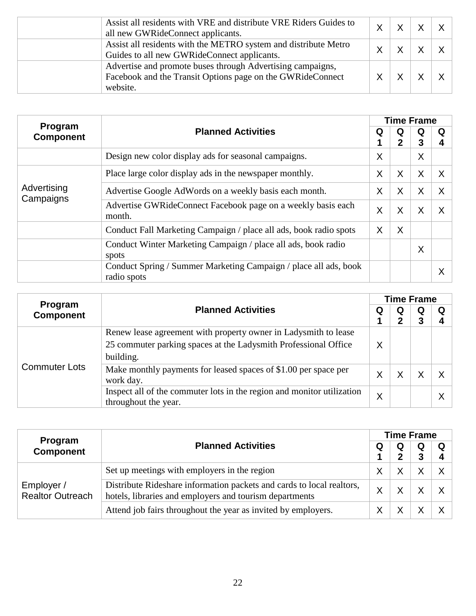| Assist all residents with VRE and distribute VRE Riders Guides to<br>all new GWRideConnect applicants.                               | Χ |  |  |
|--------------------------------------------------------------------------------------------------------------------------------------|---|--|--|
| Assist all residents with the METRO system and distribute Metro<br>Guides to all new GWRideConnect applicants.                       | x |  |  |
| Advertise and promote buses through Advertising campaigns,<br>Facebook and the Transit Options page on the GWRideConnect<br>website. |   |  |  |

|                             |                                                                                 |   |                   | <b>Time Frame</b> |        |
|-----------------------------|---------------------------------------------------------------------------------|---|-------------------|-------------------|--------|
| Program<br><b>Component</b> | <b>Planned Activities</b>                                                       | Q | Q<br>$\mathbf{2}$ | Q<br>3            | Q<br>4 |
|                             | Design new color display ads for seasonal campaigns.                            | X |                   | X                 |        |
| Advertising                 | Place large color display ads in the newspaper monthly.                         | X | X                 | X                 |        |
|                             | Advertise Google AdWords on a weekly basis each month.                          | X | X                 | X                 | X      |
| Campaigns                   | Advertise GWRideConnect Facebook page on a weekly basis each<br>month.          | X | X                 | X                 |        |
|                             | Conduct Fall Marketing Campaign / place all ads, book radio spots               | X | X                 |                   |        |
|                             | Conduct Winter Marketing Campaign / place all ads, book radio<br>spots          |   |                   | X                 |        |
|                             | Conduct Spring / Summer Marketing Campaign / place all ads, book<br>radio spots |   |                   |                   |        |

| Program              |                                                                                                                                    |   | <b>Time Frame</b> |        |        |  |  |
|----------------------|------------------------------------------------------------------------------------------------------------------------------------|---|-------------------|--------|--------|--|--|
| <b>Component</b>     | <b>Planned Activities</b>                                                                                                          | Q | Q<br>2            | Q<br>3 | Q<br>4 |  |  |
| <b>Commuter Lots</b> | Renew lease agreement with property owner in Ladysmith to lease<br>25 commuter parking spaces at the Ladysmith Professional Office | X |                   |        |        |  |  |
|                      | building.<br>Make monthly payments for leased spaces of \$1.00 per space per<br>work day.                                          | Χ |                   |        | Χ      |  |  |
|                      | Inspect all of the commuter lots in the region and monitor utilization<br>throughout the year.                                     | X |                   |        | X      |  |  |

| <b>Program</b><br><b>Component</b>    |                                                                                                                                  |             | <b>Time Frame</b> |   |              |
|---------------------------------------|----------------------------------------------------------------------------------------------------------------------------------|-------------|-------------------|---|--------------|
|                                       | <b>Planned Activities</b>                                                                                                        | Q<br>X<br>x | Q                 | Q | Q            |
| Employer /<br><b>Realtor Outreach</b> | Set up meetings with employers in the region                                                                                     |             |                   |   | $\mathsf{X}$ |
|                                       | Distribute Rideshare information packets and cards to local realtors,<br>hotels, libraries and employers and tourism departments |             |                   |   |              |
|                                       | Attend job fairs throughout the year as invited by employers.                                                                    |             |                   |   |              |